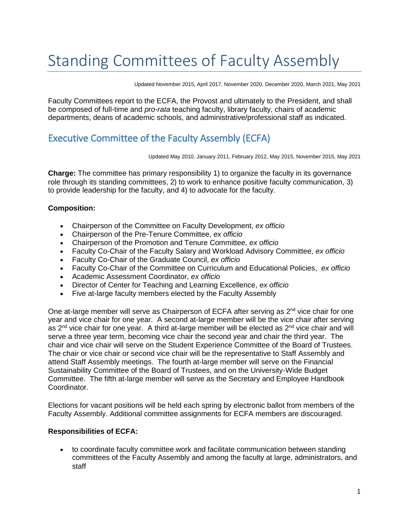# Standing Committees of Faculty Assembly

Updated November 2015, April 2017, November 2020, December 2020, March 2021, May 2021

Faculty Committees report to the ECFA, the Provost and ultimately to the President, and shall be composed of full-time and *pro-rata* teaching faculty, library faculty, chairs of academic departments, deans of academic schools, and administrative/professional staff as indicated.

# Executive Committee of the Faculty Assembly (ECFA)

Updated May 2010, January 2011, February 2012, May 2015, November 2015, May 2021

**Charge:** The committee has primary responsibility 1) to organize the faculty in its governance role through its standing committees, 2) to work to enhance positive faculty communication, 3) to provide leadership for the faculty, and 4) to advocate for the faculty.

### **Composition:**

- Chairperson of the Committee on Faculty Development, *ex officio*
- Chairperson of the Pre-Tenure Committee, *ex officio*
- Chairperson of the Promotion and Tenure Committee, *ex officio*
- Faculty Co-Chair of the Faculty Salary and Workload Advisory Committee, *ex officio*
- Faculty Co-Chair of the Graduate Council, *ex officio*
- Faculty Co-Chair of the Committee on Curriculum and Educational Policies, *ex officio*
- Academic Assessment Coordinator, *ex officio*
- Director of Center for Teaching and Learning Excellence, *ex officio*
- Five at-large faculty members elected by the Faculty Assembly

One at-large member will serve as Chairperson of ECFA after serving as  $2<sup>nd</sup>$  vice chair for one year and vice chair for one year. A second at-large member will be the vice chair after serving as  $2^{nd}$  vice chair for one year. A third at-large member will be elected as  $2^{nd}$  vice chair and will serve a three year term, becoming vice chair the second year and chair the third year. The chair and vice chair will serve on the Student Experience Committee of the Board of Trustees. The chair or vice chair or second vice chair will be the representative to Staff Assembly and attend Staff Assembly meetings. The fourth at-large member will serve on the Financial Sustainability Committee of the Board of Trustees, and on the University-Wide Budget Committee. The fifth at-large member will serve as the Secretary and Employee Handbook Coordinator.

Elections for vacant positions will be held each spring by electronic ballot from members of the Faculty Assembly. Additional committee assignments for ECFA members are discouraged.

### **Responsibilities of ECFA:**

• to coordinate faculty committee work and facilitate communication between standing committees of the Faculty Assembly and among the faculty at large, administrators, and staff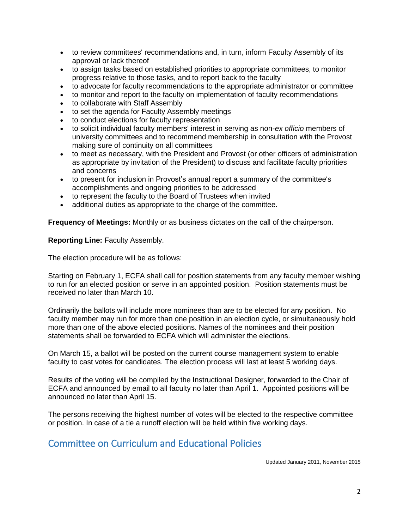- to review committees' recommendations and, in turn, inform Faculty Assembly of its approval or lack thereof
- to assign tasks based on established priorities to appropriate committees, to monitor progress relative to those tasks, and to report back to the faculty
- to advocate for faculty recommendations to the appropriate administrator or committee
- to monitor and report to the faculty on implementation of faculty recommendations
- to collaborate with Staff Assembly
- to set the agenda for Faculty Assembly meetings
- to conduct elections for faculty representation
- to solicit individual faculty members' interest in serving as non-*ex officio* members of university committees and to recommend membership in consultation with the Provost making sure of continuity on all committees
- to meet as necessary, with the President and Provost (or other officers of administration as appropriate by invitation of the President) to discuss and facilitate faculty priorities and concerns
- to present for inclusion in Provost's annual report a summary of the committee's accomplishments and ongoing priorities to be addressed
- to represent the faculty to the Board of Trustees when invited
- additional duties as appropriate to the charge of the committee.

**Frequency of Meetings:** Monthly or as business dictates on the call of the chairperson.

**Reporting Line:** Faculty Assembly.

The election procedure will be as follows:

Starting on February 1, ECFA shall call for position statements from any faculty member wishing to run for an elected position or serve in an appointed position. Position statements must be received no later than March 10.

Ordinarily the ballots will include more nominees than are to be elected for any position. No faculty member may run for more than one position in an election cycle, or simultaneously hold more than one of the above elected positions. Names of the nominees and their position statements shall be forwarded to ECFA which will administer the elections.

On March 15, a ballot will be posted on the current course management system to enable faculty to cast votes for candidates. The election process will last at least 5 working days.

Results of the voting will be compiled by the Instructional Designer, forwarded to the Chair of ECFA and announced by email to all faculty no later than April 1. Appointed positions will be announced no later than April 15.

The persons receiving the highest number of votes will be elected to the respective committee or position. In case of a tie a runoff election will be held within five working days.

## Committee on Curriculum and Educational Policies

Updated January 2011, November 2015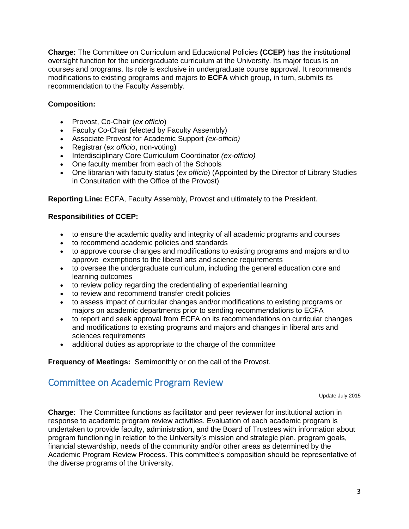**Charge:** The Committee on Curriculum and Educational Policies **(CCEP)** has the institutional oversight function for the undergraduate curriculum at the University. Its major focus is on courses and programs. Its role is exclusive in undergraduate course approval. It recommends modifications to existing programs and majors to **ECFA** which group, in turn, submits its recommendation to the Faculty Assembly.

### **Composition:**

- Provost, Co-Chair (*ex officio*)
- Faculty Co-Chair (elected by Faculty Assembly)
- Associate Provost for Academic Support *(ex-officio)*
- Registrar (*ex officio*, non-voting)
- Interdisciplinary Core Curriculum Coordinator *(ex-officio)*
- One faculty member from each of the Schools
- One librarian with faculty status (*ex officio*) (Appointed by the Director of Library Studies in Consultation with the Office of the Provost)

**Reporting Line:** ECFA, Faculty Assembly, Provost and ultimately to the President.

### **Responsibilities of CCEP:**

- to ensure the academic quality and integrity of all academic programs and courses
- to recommend academic policies and standards
- to approve course changes and modifications to existing programs and majors and to approve exemptions to the liberal arts and science requirements
- to oversee the undergraduate curriculum, including the general education core and learning outcomes
- to review policy regarding the credentialing of experiential learning
- to review and recommend transfer credit policies
- to assess impact of curricular changes and/or modifications to existing programs or majors on academic departments prior to sending recommendations to ECFA
- to report and seek approval from ECFA on its recommendations on curricular changes and modifications to existing programs and majors and changes in liberal arts and sciences requirements
- additional duties as appropriate to the charge of the committee

**Frequency of Meetings:** Semimonthly or on the call of the Provost.

## Committee on Academic Program Review

Update July 2015

**Charge**: The Committee functions as facilitator and peer reviewer for institutional action in response to academic program review activities. Evaluation of each academic program is undertaken to provide faculty, administration, and the Board of Trustees with information about program functioning in relation to the University's mission and strategic plan, program goals, financial stewardship, needs of the community and/or other areas as determined by the Academic Program Review Process. This committee's composition should be representative of the diverse programs of the University.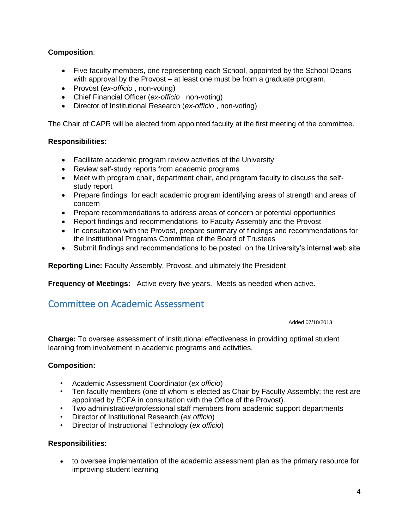### **Composition**:

- Five faculty members, one representing each School, appointed by the School Deans with approval by the Provost – at least one must be from a graduate program.
- Provost (*ex-officio* , non-voting)
- Chief Financial Officer (*ex-officio* , non-voting)
- Director of Institutional Research (*ex-officio* , non-voting)

The Chair of CAPR will be elected from appointed faculty at the first meeting of the committee.

### **Responsibilities:**

- Facilitate academic program review activities of the University
- Review self-study reports from academic programs
- Meet with program chair, department chair, and program faculty to discuss the selfstudy report
- Prepare findings for each academic program identifying areas of strength and areas of concern
- Prepare recommendations to address areas of concern or potential opportunities
- Report findings and recommendations to Faculty Assembly and the Provost
- In consultation with the Provost, prepare summary of findings and recommendations for the Institutional Programs Committee of the Board of Trustees
- Submit findings and recommendations to be posted on the University's internal web site

**Reporting Line:** Faculty Assembly, Provost, and ultimately the President

**Frequency of Meetings:** Active every five years. Meets as needed when active.

## Committee on Academic Assessment

Added 07/18/2013

**Charge:** To oversee assessment of institutional effectiveness in providing optimal student learning from involvement in academic programs and activities.

### **Composition:**

- Academic Assessment Coordinator (*ex officio*)
- Ten faculty members (one of whom is elected as Chair by Faculty Assembly; the rest are appointed by ECFA in consultation with the Office of the Provost).
- Two administrative/professional staff members from academic support departments
- Director of Institutional Research (*ex officio*)
- Director of Instructional Technology (*ex officio*)

### **Responsibilities:**

• to oversee implementation of the academic assessment plan as the primary resource for improving student learning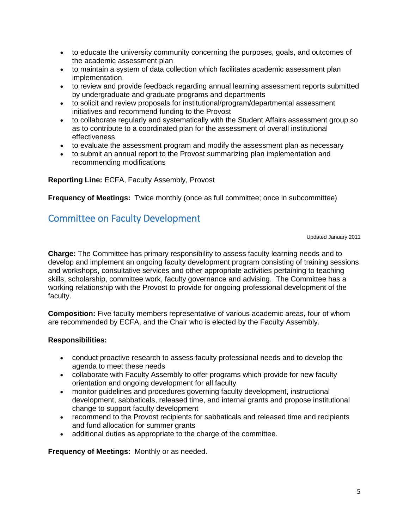- to educate the university community concerning the purposes, goals, and outcomes of the academic assessment plan
- to maintain a system of data collection which facilitates academic assessment plan implementation
- to review and provide feedback regarding annual learning assessment reports submitted by undergraduate and graduate programs and departments
- to solicit and review proposals for institutional/program/departmental assessment initiatives and recommend funding to the Provost
- to collaborate regularly and systematically with the Student Affairs assessment group so as to contribute to a coordinated plan for the assessment of overall institutional effectiveness
- to evaluate the assessment program and modify the assessment plan as necessary
- to submit an annual report to the Provost summarizing plan implementation and recommending modifications

**Reporting Line:** ECFA, Faculty Assembly, Provost

**Frequency of Meetings:** Twice monthly (once as full committee; once in subcommittee)

# Committee on Faculty Development

Updated January 2011

**Charge:** The Committee has primary responsibility to assess faculty learning needs and to develop and implement an ongoing faculty development program consisting of training sessions and workshops, consultative services and other appropriate activities pertaining to teaching skills, scholarship, committee work, faculty governance and advising. The Committee has a working relationship with the Provost to provide for ongoing professional development of the faculty.

**Composition:** Five faculty members representative of various academic areas, four of whom are recommended by ECFA, and the Chair who is elected by the Faculty Assembly.

### **Responsibilities:**

- conduct proactive research to assess faculty professional needs and to develop the agenda to meet these needs
- collaborate with Faculty Assembly to offer programs which provide for new faculty orientation and ongoing development for all faculty
- monitor guidelines and procedures governing faculty development, instructional development, sabbaticals, released time, and internal grants and propose institutional change to support faculty development
- recommend to the Provost recipients for sabbaticals and released time and recipients and fund allocation for summer grants
- additional duties as appropriate to the charge of the committee.

**Frequency of Meetings:** Monthly or as needed.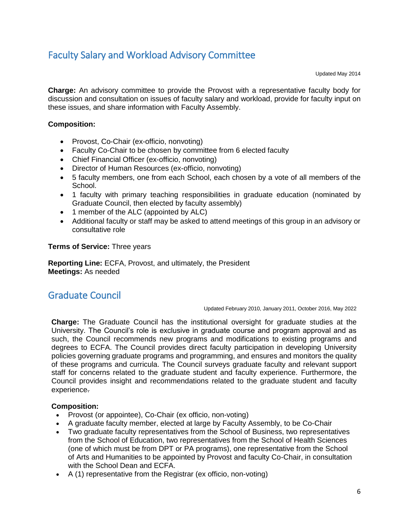# Faculty Salary and Workload Advisory Committee

Updated May 2014

**Charge:** An advisory committee to provide the Provost with a representative faculty body for discussion and consultation on issues of faculty salary and workload, provide for faculty input on these issues, and share information with Faculty Assembly.

### **Composition:**

- Provost, Co-Chair (ex-officio, nonvoting)
- Faculty Co-Chair to be chosen by committee from 6 elected faculty
- Chief Financial Officer (ex-officio, nonvoting)
- Director of Human Resources (ex-officio, nonvoting)
- 5 faculty members, one from each School, each chosen by a vote of all members of the School.
- 1 faculty with primary teaching responsibilities in graduate education (nominated by Graduate Council, then elected by faculty assembly)
- 1 member of the ALC (appointed by ALC)
- Additional faculty or staff may be asked to attend meetings of this group in an advisory or consultative role

**Terms of Service:** Three years

**Reporting Line:** ECFA, Provost, and ultimately, the President **Meetings:** As needed

# Graduate Council

Updated February 2010, January 2011, October 2016, May 2022

**Charge:** The Graduate Council has the institutional oversight for graduate studies at the University. The Council's role is exclusive in graduate course and program approval and as such, the Council recommends new programs and modifications to existing programs and degrees to ECFA. The Council provides direct faculty participation in developing University policies governing graduate programs and programming, and ensures and monitors the quality of these programs and curricula. The Council surveys graduate faculty and relevant support staff for concerns related to the graduate student and faculty experience. Furthermore, the Council provides insight and recommendations related to the graduate student and faculty experience.

### **Composition:**

- Provost (or appointee), Co-Chair (ex officio, non-voting)
- A graduate faculty member, elected at large by Faculty Assembly, to be Co-Chair
- Two graduate faculty representatives from the School of Business, two representatives from the School of Education, two representatives from the School of Health Sciences (one of which must be from DPT or PA programs), one representative from the School of Arts and Humanities to be appointed by Provost and faculty Co-Chair, in consultation with the School Dean and ECFA.
- A (1) representative from the Registrar (ex officio, non-voting)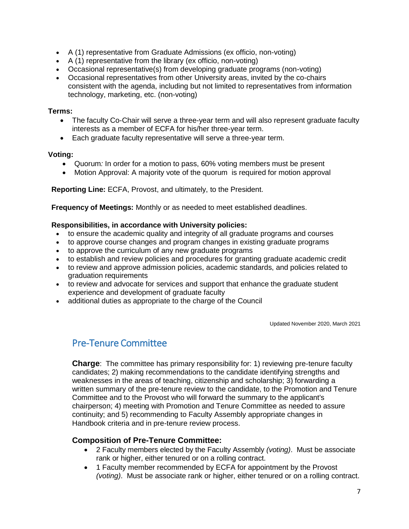- A (1) representative from Graduate Admissions (ex officio, non-voting)
- A (1) representative from the library (ex officio, non-voting)
- Occasional representative(s) from developing graduate programs (non-voting)
- Occasional representatives from other University areas, invited by the co-chairs consistent with the agenda, including but not limited to representatives from information technology, marketing, etc. (non-voting)

### **Terms:**

- The faculty Co-Chair will serve a three-year term and will also represent graduate faculty interests as a member of ECFA for his/her three-year term.
- Each graduate faculty representative will serve a three-year term.

### **Voting:**

- Quorum*:* In order for a motion to pass, 60% voting members must be present
- Motion Approval: A majority vote of the quorum is required for motion approval

**Reporting Line:** ECFA, Provost, and ultimately, to the President.

**Frequency of Meetings:** Monthly or as needed to meet established deadlines.

### **Responsibilities, in accordance with University policies:**

- to ensure the academic quality and integrity of all graduate programs and courses
- to approve course changes and program changes in existing graduate programs
- to approve the curriculum of any new graduate programs
- to establish and review policies and procedures for granting graduate academic credit
- to review and approve admission policies, academic standards, and policies related to graduation requirements
- to review and advocate for services and support that enhance the graduate student experience and development of graduate faculty
- additional duties as appropriate to the charge of the Council

Updated November 2020, March 2021

## Pre-Tenure Committee

**Charge**: The committee has primary responsibility for: 1) reviewing pre-tenure faculty candidates; 2) making recommendations to the candidate identifying strengths and weaknesses in the areas of teaching, citizenship and scholarship; 3) forwarding a written summary of the pre-tenure review to the candidate, to the Promotion and Tenure Committee and to the Provost who will forward the summary to the applicant's chairperson; 4) meeting with Promotion and Tenure Committee as needed to assure continuity; and 5) recommending to Faculty Assembly appropriate changes in Handbook criteria and in pre-tenure review process.

### **Composition of Pre-Tenure Committee:**

- 2 Faculty members elected by the Faculty Assembly *(voting)*. Must be associate rank or higher, either tenured or on a rolling contract.
- 1 Faculty member recommended by ECFA for appointment by the Provost *(voting)*. Must be associate rank or higher, either tenured or on a rolling contract.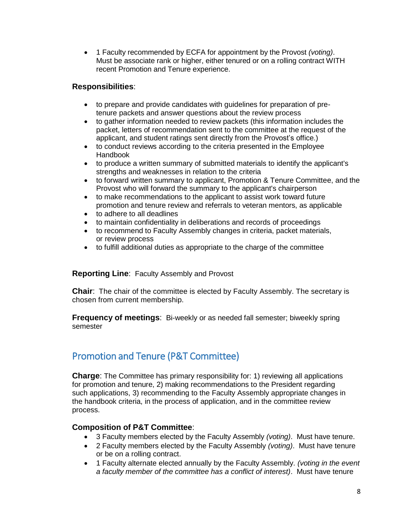• 1 Faculty recommended by ECFA for appointment by the Provost *(voting)*. Must be associate rank or higher, either tenured or on a rolling contract WITH recent Promotion and Tenure experience.

### **Responsibilities**:

- to prepare and provide candidates with guidelines for preparation of pretenure packets and answer questions about the review process
- to gather information needed to review packets (this information includes the packet, letters of recommendation sent to the committee at the request of the applicant, and student ratings sent directly from the Provost's office.)
- to conduct reviews according to the criteria presented in the Employee Handbook
- to produce a written summary of submitted materials to identify the applicant's strengths and weaknesses in relation to the criteria
- to forward written summary to applicant, Promotion & Tenure Committee, and the Provost who will forward the summary to the applicant's chairperson
- to make recommendations to the applicant to assist work toward future promotion and tenure review and referrals to veteran mentors, as applicable
- to adhere to all deadlines
- to maintain confidentiality in deliberations and records of proceedings
- to recommend to Faculty Assembly changes in criteria, packet materials, or review process
- to fulfill additional duties as appropriate to the charge of the committee

**Reporting Line**: Faculty Assembly and Provost

**Chair**: The chair of the committee is elected by Faculty Assembly. The secretary is chosen from current membership.

**Frequency of meetings**: Bi-weekly or as needed fall semester; biweekly spring semester

# Promotion and Tenure (P&T Committee)

**Charge**: The Committee has primary responsibility for: 1) reviewing all applications for promotion and tenure, 2) making recommendations to the President regarding such applications, 3) recommending to the Faculty Assembly appropriate changes in the handbook criteria, in the process of application, and in the committee review process.

### **Composition of P&T Committee**:

- 3 Faculty members elected by the Faculty Assembly *(voting)*. Must have tenure.
- 2 Faculty members elected by the Faculty Assembly *(voting)*. Must have tenure or be on a rolling contract.
- 1 Faculty alternate elected annually by the Faculty Assembly. *(voting in the event a faculty member of the committee has a conflict of interest)*. Must have tenure